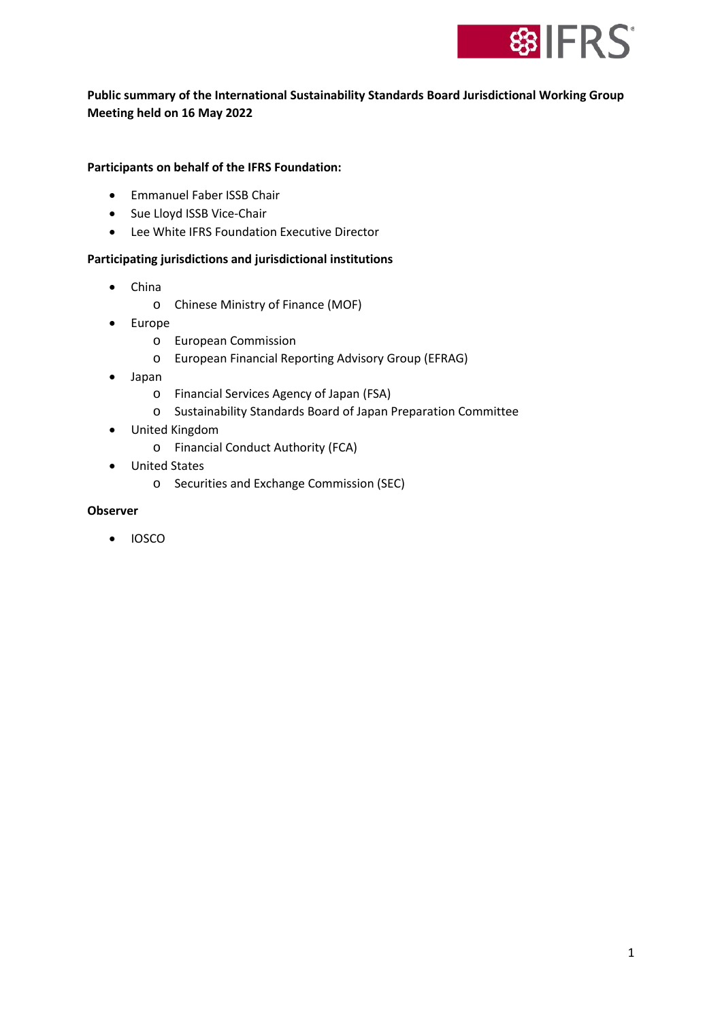

# **Public summary of the International Sustainability Standards Board Jurisdictional Working Group Meeting held on 16 May 2022**

## **Participants on behalf of the IFRS Foundation:**

- Emmanuel Faber ISSB Chair
- Sue Lloyd ISSB Vice-Chair
- Lee White IFRS Foundation Executive Director

#### **Participating jurisdictions and jurisdictional institutions**

- China
	- o Chinese Ministry of Finance (MOF)
- Europe
	- o European Commission
	- o European Financial Reporting Advisory Group (EFRAG)
- Japan
	- o Financial Services Agency of Japan (FSA)
	- o Sustainability Standards Board of Japan Preparation Committee
- United Kingdom
	- o Financial Conduct Authority (FCA)
- United States
	- o Securities and Exchange Commission (SEC)

### **Observer**

• IOSCO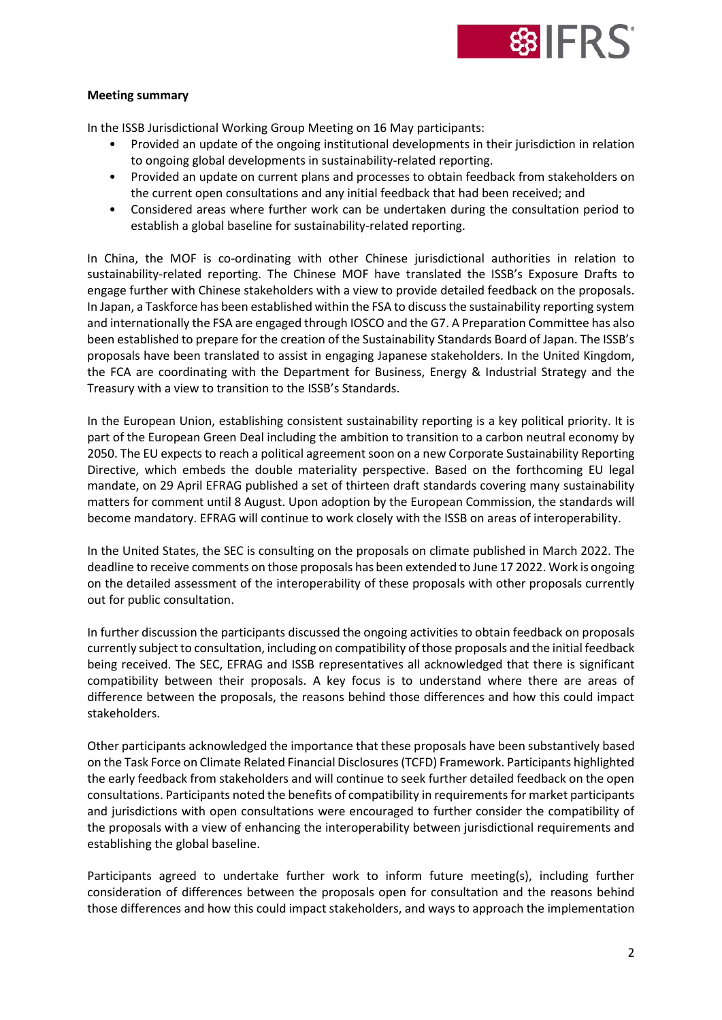

#### **Meeting summary**

In the ISSB Jurisdictional Working Group Meeting on 16 May participants:

- Provided an update of the ongoing institutional developments in their jurisdiction in relation to ongoing global developments in sustainability-related reporting.
- Provided an update on current plans and processes to obtain feedback from stakeholders on the current open consultations and any initial feedback that had been received; and
- Considered areas where further work can be undertaken during the consultation period to establish a global baseline for sustainability-related reporting.

In China, the MOF is co-ordinating with other Chinese jurisdictional authorities in relation to sustainability-related reporting. The Chinese MOF have translated the ISSB's Exposure Drafts to engage further with Chinese stakeholders with a view to provide detailed feedback on the proposals. In Japan, a Taskforce has been established within the FSA to discuss the sustainability reporting system and internationally the FSA are engaged through IOSCO and the G7. A Preparation Committee has also been established to prepare for the creation of the Sustainability Standards Board of Japan. The ISSB's proposals have been translated to assist in engaging Japanese stakeholders. In the United Kingdom, the FCA are coordinating with the Department for Business, Energy & Industrial Strategy and the Treasury with a view to transition to the ISSB's Standards.

In the European Union, establishing consistent sustainability reporting is a key political priority. It is part of the European Green Deal including the ambition to transition to a carbon neutral economy by 2050. The EU expects to reach a political agreement soon on a new Corporate Sustainability Reporting Directive, which embeds the double materiality perspective. Based on the forthcoming EU legal mandate, on 29 April EFRAG published a set of thirteen draft standards covering many sustainability matters for comment until 8 August. Upon adoption by the European Commission, the standards will become mandatory. EFRAG will continue to work closely with the ISSB on areas of interoperability.

In the United States, the SEC is consulting on the proposals on climate published in March 2022. The deadline to receive comments on those proposals has been extended to June 17 2022. Work is ongoing on the detailed assessment of the interoperability of these proposals with other proposals currently out for public consultation.

In further discussion the participants discussed the ongoing activities to obtain feedback on proposals currently subject to consultation, including on compatibility of those proposals and the initial feedback being received. The SEC, EFRAG and ISSB representatives all acknowledged that there is significant compatibility between their proposals. A key focus is to understand where there are areas of difference between the proposals, the reasons behind those differences and how this could impact stakeholders.

Other participants acknowledged the importance that these proposals have been substantively based on the Task Force on Climate Related Financial Disclosures (TCFD) Framework. Participants highlighted the early feedback from stakeholders and will continue to seek further detailed feedback on the open consultations. Participants noted the benefits of compatibility in requirements for market participants and jurisdictions with open consultations were encouraged to further consider the compatibility of the proposals with a view of enhancing the interoperability between jurisdictional requirements and establishing the global baseline.

Participants agreed to undertake further work to inform future meeting(s), including further consideration of differences between the proposals open for consultation and the reasons behind those differences and how this could impact stakeholders, and ways to approach the implementation